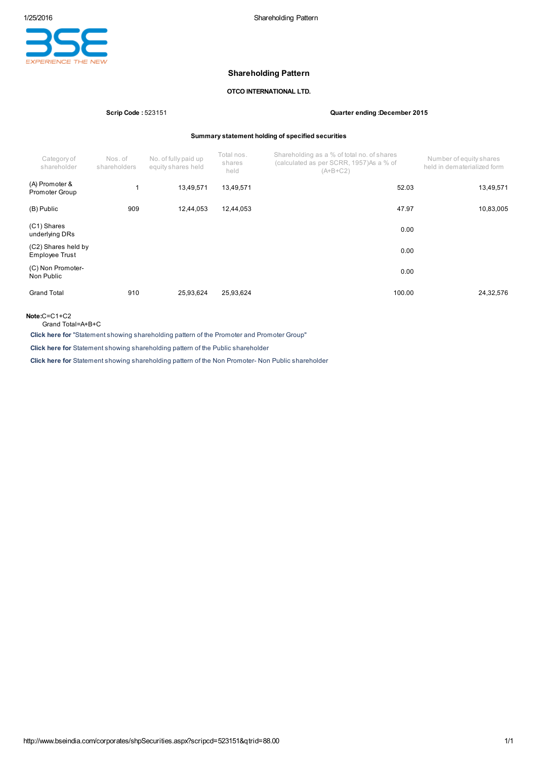

# Shareholding Pattern

## OTCO INTERNATIONAL LTD.

### Scrip Code : 523151 Quarter ending :December 2015

### Summary statement holding of specified securities

| Category of<br>shareholder                   | Nos.of<br>shareholders | No. of fully paid up<br>equity shares held | Total nos.<br>shares<br>held | Shareholding as a % of total no. of shares<br>(calculated as per SCRR, 1957)As a % of<br>$(A+B+C2)$ | Number of equity shares<br>held in dematerialized form |
|----------------------------------------------|------------------------|--------------------------------------------|------------------------------|-----------------------------------------------------------------------------------------------------|--------------------------------------------------------|
| (A) Promoter &<br>Promoter Group             |                        | 13,49,571                                  | 13,49,571                    | 52.03                                                                                               | 13,49,571                                              |
| (B) Public                                   | 909                    | 12,44,053                                  | 12,44,053                    | 47.97                                                                                               | 10,83,005                                              |
| (C1) Shares<br>underlying DRs                |                        |                                            |                              | 0.00                                                                                                |                                                        |
| (C2) Shares held by<br><b>Employee Trust</b> |                        |                                            |                              | 0.00                                                                                                |                                                        |
| (C) Non Promoter-<br>Non Public              |                        |                                            |                              | 0.00                                                                                                |                                                        |
| <b>Grand Total</b>                           | 910                    | 25,93,624                                  | 25,93,624                    | 100.00                                                                                              | 24,32,576                                              |

Note:C=C1+C2

Grand Total=A+B+C

Click here for "Statement showing shareholding pattern of the Promoter and Promoter Group"

Click here for Statement showing shareholding pattern of the Public shareholder

Click here for Statement showing shareholding pattern of the Non Promoter- Non Public shareholder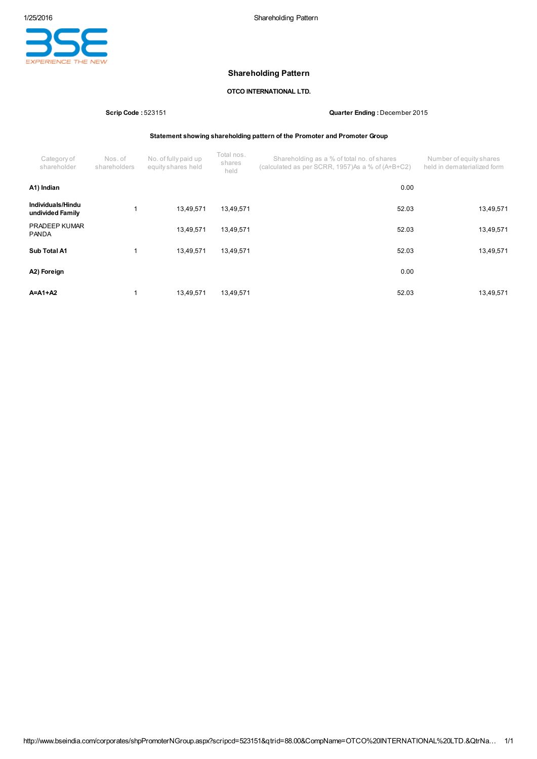

# Shareholding Pattern

## OTCO INTERNATIONAL LTD.

Scrip Code : 523151 Quarter Ending : December 2015

Statement showing shareholding pattern of the Promoter and Promoter Group

| Category of<br>shareholder            | Nos. of<br>shareholders | No. of fully paid up<br>equity shares held | Total nos.<br>shares<br>held | Shareholding as a % of total no. of shares<br>(calculated as per SCRR, 1957)As a % of (A+B+C2) | Number of equity shares<br>held in dematerialized form |
|---------------------------------------|-------------------------|--------------------------------------------|------------------------------|------------------------------------------------------------------------------------------------|--------------------------------------------------------|
| A1) Indian                            |                         |                                            |                              | 0.00                                                                                           |                                                        |
| Individuals/Hindu<br>undivided Family |                         | 13,49,571                                  | 13,49,571                    | 52.03                                                                                          | 13,49,571                                              |
| <b>PRADEEP KUMAR</b><br><b>PANDA</b>  |                         | 13.49.571                                  | 13,49,571                    | 52.03                                                                                          | 13,49,571                                              |
| Sub Total A1                          |                         | 13,49,571                                  | 13,49,571                    | 52.03                                                                                          | 13,49,571                                              |
| A2) Foreign                           |                         |                                            |                              | 0.00                                                                                           |                                                        |
| $A = A1 + A2$                         |                         | 13.49.571                                  | 13.49.571                    | 52.03                                                                                          | 13,49,571                                              |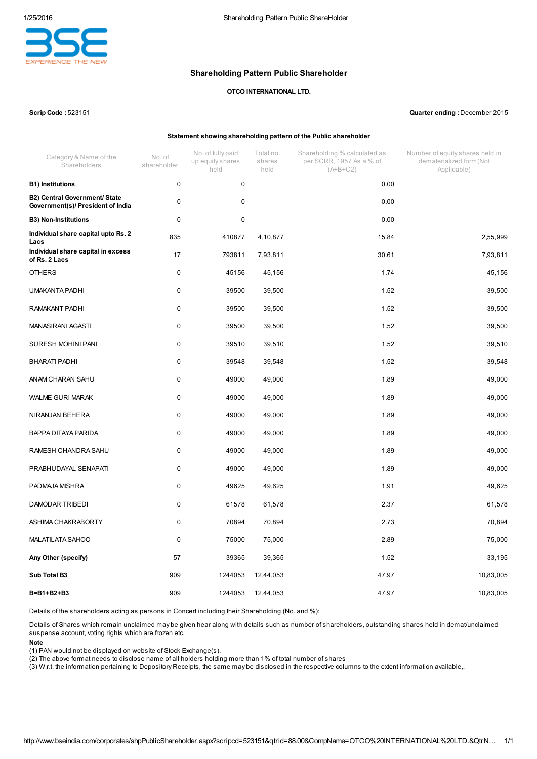

## Shareholding Pattern Public Shareholder

## OTCO INTERNATIONAL LTD.

### Scrip Code : 523151 Quarter ending : December 2015

### Statement showing shareholding pattern of the Public shareholder

| Category & Name of the<br>Shareholders                                    | No. of<br>shareholder | No. of fully paid<br>up equity shares<br>held | Total no.<br>shares<br>held | Shareholding % calculated as<br>per SCRR, 1957 As a % of<br>$(A+B+C2)$ | Number of equity shares held in<br>dematerialized form (Not<br>Applicable) |
|---------------------------------------------------------------------------|-----------------------|-----------------------------------------------|-----------------------------|------------------------------------------------------------------------|----------------------------------------------------------------------------|
| <b>B1)</b> Institutions                                                   | $\pmb{0}$             | 0                                             |                             | 0.00                                                                   |                                                                            |
| <b>B2) Central Government/ State</b><br>Government(s)/ President of India | 0                     | 0                                             |                             | 0.00                                                                   |                                                                            |
| <b>B3) Non-Institutions</b>                                               | 0                     | 0                                             |                             | 0.00                                                                   |                                                                            |
| Individual share capital upto Rs. 2<br>Lacs                               | 835                   | 410877                                        | 4,10,877                    | 15.84                                                                  | 2,55,999                                                                   |
| Individual share capital in excess<br>of Rs. 2 Lacs                       | 17                    | 793811                                        | 7,93,811                    | 30.61                                                                  | 7,93,811                                                                   |
| <b>OTHERS</b>                                                             | 0                     | 45156                                         | 45,156                      | 1.74                                                                   | 45,156                                                                     |
| UMAKANTA PADHI                                                            | 0                     | 39500                                         | 39,500                      | 1.52                                                                   | 39,500                                                                     |
| RAMAKANT PADHI                                                            | 0                     | 39500                                         | 39,500                      | 1.52                                                                   | 39,500                                                                     |
| MANASIRANI AGASTI                                                         | $\mathbf 0$           | 39500                                         | 39,500                      | 1.52                                                                   | 39,500                                                                     |
| SURESH MOHINI PANI                                                        | 0                     | 39510                                         | 39,510                      | 1.52                                                                   | 39,510                                                                     |
| BHARATI PADHI                                                             | 0                     | 39548                                         | 39,548                      | 1.52                                                                   | 39,548                                                                     |
| ANAM CHARAN SAHU                                                          | 0                     | 49000                                         | 49,000                      | 1.89                                                                   | 49,000                                                                     |
| <b>WALME GURI MARAK</b>                                                   | 0                     | 49000                                         | 49,000                      | 1.89                                                                   | 49,000                                                                     |
| NIRANJAN BEHERA                                                           | 0                     | 49000                                         | 49,000                      | 1.89                                                                   | 49,000                                                                     |
| BAPPA DITAYA PARIDA                                                       | 0                     | 49000                                         | 49,000                      | 1.89                                                                   | 49,000                                                                     |
| RAMESH CHANDRA SAHU                                                       | 0                     | 49000                                         | 49,000                      | 1.89                                                                   | 49,000                                                                     |
| PRABHUDAYAL SENAPATI                                                      | $\mathbf 0$           | 49000                                         | 49,000                      | 1.89                                                                   | 49,000                                                                     |
| PADMAJA MISHRA                                                            | 0                     | 49625                                         | 49,625                      | 1.91                                                                   | 49,625                                                                     |
| DAMODAR TRIBEDI                                                           | 0                     | 61578                                         | 61,578                      | 2.37                                                                   | 61,578                                                                     |
| ASHIMA CHAKRABORTY                                                        | 0                     | 70894                                         | 70,894                      | 2.73                                                                   | 70,894                                                                     |
| <b>MALATILATA SAHOO</b>                                                   | 0                     | 75000                                         | 75,000                      | 2.89                                                                   | 75,000                                                                     |
| Any Other (specify)                                                       | 57                    | 39365                                         | 39,365                      | 1.52                                                                   | 33,195                                                                     |
| Sub Total B3                                                              | 909                   | 1244053                                       | 12,44,053                   | 47.97                                                                  | 10,83,005                                                                  |
| B=B1+B2+B3                                                                | 909                   | 1244053                                       | 12,44,053                   | 47.97                                                                  | 10,83,005                                                                  |

Details of the shareholders acting as persons in Concert including their Shareholding (No. and %):

Details of Shares which remain unclaimed may be given hear along with details such as number of shareholders, outstanding shares held in demat/unclaimed suspense account, voting rights which are frozen etc.

### Note

(1) PAN would not be displayed on website of Stock Exchange(s).

(2) The above format needs to disclose name of all holders holding more than 1% of total number of shares

(3) W.r.t. the information pertaining to Depository Receipts, the same may be disclosed in the respective columns to the extent information available,.